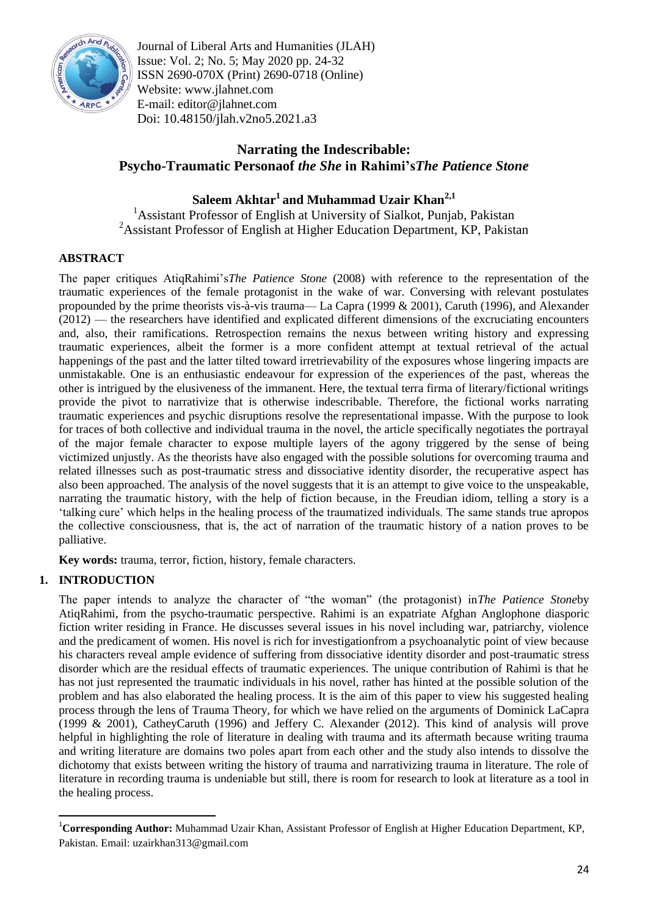

Journal of Liberal Arts and Humanities (JLAH) Issue: Vol. 2; No. 5; May 2020 pp. 24-32 ISSN 2690-070X (Print) 2690-0718 (Online) Website: www.jlahnet.com E-mail: editor@jlahnet.com Doi: 10.48150/jlah.v2no5.2021.a3

# **Narrating the Indescribable: Psycho-Traumatic Personaof** *the She* **in Rahimi's***The Patience Stone*

# **Saleem Akhtar<sup>1</sup>and Muhammad Uzair Khan2,1**

<sup>1</sup> Assistant Professor of English at University of Sialkot, Punjab, Pakistan <sup>2</sup>Assistant Professor of English at Higher Education Department, KP, Pakistan

## **ABSTRACT**

The paper critiques AtiqRahimi's*The Patience Stone* (2008) with reference to the representation of the traumatic experiences of the female protagonist in the wake of war. Conversing with relevant postulates propounded by the prime theorists vis-à-vis trauma— La Capra (1999 & 2001), Caruth (1996), and Alexander (2012) — the researchers have identified and explicated different dimensions of the excruciating encounters and, also, their ramifications. Retrospection remains the nexus between writing history and expressing traumatic experiences, albeit the former is a more confident attempt at textual retrieval of the actual happenings of the past and the latter tilted toward irretrievability of the exposures whose lingering impacts are unmistakable. One is an enthusiastic endeavour for expression of the experiences of the past, whereas the other is intrigued by the elusiveness of the immanent. Here, the textual terra firma of literary/fictional writings provide the pivot to narrativize that is otherwise indescribable. Therefore, the fictional works narrating traumatic experiences and psychic disruptions resolve the representational impasse. With the purpose to look for traces of both collective and individual trauma in the novel, the article specifically negotiates the portrayal of the major female character to expose multiple layers of the agony triggered by the sense of being victimized unjustly. As the theorists have also engaged with the possible solutions for overcoming trauma and related illnesses such as post-traumatic stress and dissociative identity disorder, the recuperative aspect has also been approached. The analysis of the novel suggests that it is an attempt to give voice to the unspeakable, narrating the traumatic history, with the help of fiction because, in the Freudian idiom, telling a story is a ‗talking cure' which helps in the healing process of the traumatized individuals. The same stands true apropos the collective consciousness, that is, the act of narration of the traumatic history of a nation proves to be palliative.

**Key words:** trauma, terror, fiction, history, female characters.

## **1. INTRODUCTION**

1

The paper intends to analyze the character of "the woman" (the protagonist) in The Patience Stoneby AtiqRahimi, from the psycho-traumatic perspective. Rahimi is an expatriate Afghan Anglophone diasporic fiction writer residing in France. He discusses several issues in his novel including war, patriarchy, violence and the predicament of women. His novel is rich for investigationfrom a psychoanalytic point of view because his characters reveal ample evidence of suffering from dissociative identity disorder and post-traumatic stress disorder which are the residual effects of traumatic experiences. The unique contribution of Rahimi is that he has not just represented the traumatic individuals in his novel, rather has hinted at the possible solution of the problem and has also elaborated the healing process. It is the aim of this paper to view his suggested healing process through the lens of Trauma Theory, for which we have relied on the arguments of Dominick LaCapra (1999 & 2001), CatheyCaruth (1996) and Jeffery C. Alexander (2012). This kind of analysis will prove helpful in highlighting the role of literature in dealing with trauma and its aftermath because writing trauma and writing literature are domains two poles apart from each other and the study also intends to dissolve the dichotomy that exists between writing the history of trauma and narrativizing trauma in literature. The role of literature in recording trauma is undeniable but still, there is room for research to look at literature as a tool in the healing process.

<sup>1</sup>**Corresponding Author:** Muhammad Uzair Khan, Assistant Professor of English at Higher Education Department, KP, Pakistan. Email: uzairkhan313@gmail.com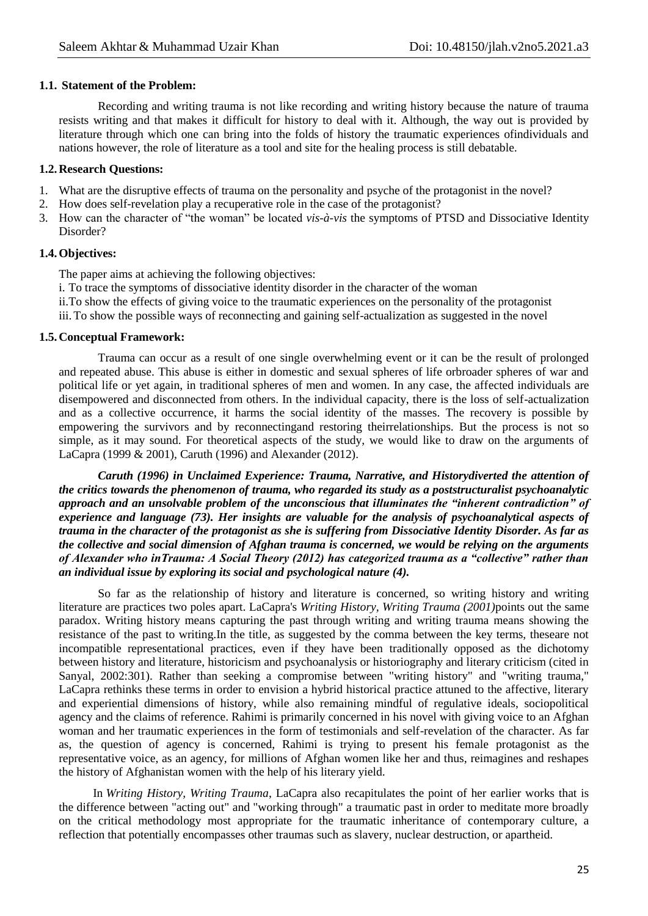#### **1.1. Statement of the Problem:**

Recording and writing trauma is not like recording and writing history because the nature of trauma resists writing and that makes it difficult for history to deal with it. Although, the way out is provided by literature through which one can bring into the folds of history the traumatic experiences ofindividuals and nations however, the role of literature as a tool and site for the healing process is still debatable.

### **1.2.Research Questions:**

- 1. What are the disruptive effects of trauma on the personality and psyche of the protagonist in the novel?
- 2. How does self-revelation play a recuperative role in the case of the protagonist?
- 3. How can the character of "the woman" be located *vis-à-vis* the symptoms of PTSD and Dissociative Identity Disorder?

## **1.4.Objectives:**

The paper aims at achieving the following objectives:

i. To trace the symptoms of dissociative identity disorder in the character of the woman

ii.To show the effects of giving voice to the traumatic experiences on the personality of the protagonist

iii.To show the possible ways of reconnecting and gaining self-actualization as suggested in the novel

#### **1.5.Conceptual Framework:**

Trauma can occur as a result of one single overwhelming event or it can be the result of prolonged and repeated abuse. This abuse is either in domestic and sexual spheres of life orbroader spheres of war and political life or yet again, in traditional spheres of men and women. In any case, the affected individuals are disempowered and disconnected from others. In the individual capacity, there is the loss of self-actualization and as a collective occurrence, it harms the social identity of the masses. The recovery is possible by empowering the survivors and by reconnectingand restoring theirrelationships. But the process is not so simple, as it may sound. For theoretical aspects of the study, we would like to draw on the arguments of LaCapra (1999 & 2001), Caruth (1996) and Alexander (2012).

*Caruth (1996) in Unclaimed Experience: Trauma, Narrative, and Historydiverted the attention of the critics towards the phenomenon of trauma, who regarded its study as a poststructuralist psychoanalytic approach and an unsolvable problem of the unconscious that illuminates the "inherent contradiction" of experience and language (73). Her insights are valuable for the analysis of psychoanalytical aspects of trauma in the character of the protagonist as she is suffering from Dissociative Identity Disorder. As far as the collective and social dimension of Afghan trauma is concerned, we would be relying on the arguments of Alexander who inTrauma: A Social Theory (2012) has categorized trauma as a "collective" rather than an individual issue by exploring its social and psychological nature (4).*

So far as the relationship of history and literature is concerned, so writing history and writing literature are practices two poles apart. LaCapra's *Writing History, Writing Trauma (2001)*points out the same paradox. Writing history means capturing the past through writing and writing trauma means showing the resistance of the past to writing.In the title, as suggested by the comma between the key terms, theseare not incompatible representational practices, even if they have been traditionally opposed as the dichotomy between history and literature, historicism and psychoanalysis or historiography and literary criticism (cited in Sanyal, 2002:301). Rather than seeking a compromise between "writing history" and "writing trauma," LaCapra rethinks these terms in order to envision a hybrid historical practice attuned to the affective, literary and experiential dimensions of history, while also remaining mindful of regulative ideals, sociopolitical agency and the claims of reference. Rahimi is primarily concerned in his novel with giving voice to an Afghan woman and her traumatic experiences in the form of testimonials and self-revelation of the character. As far as, the question of agency is concerned, Rahimi is trying to present his female protagonist as the representative voice, as an agency, for millions of Afghan women like her and thus, reimagines and reshapes the history of Afghanistan women with the help of his literary yield.

In *Writing History, Writing Trauma*, LaCapra also recapitulates the point of her earlier works that is the difference between "acting out" and "working through" a traumatic past in order to meditate more broadly on the critical methodology most appropriate for the traumatic inheritance of contemporary culture, a reflection that potentially encompasses other traumas such as slavery, nuclear destruction, or apartheid.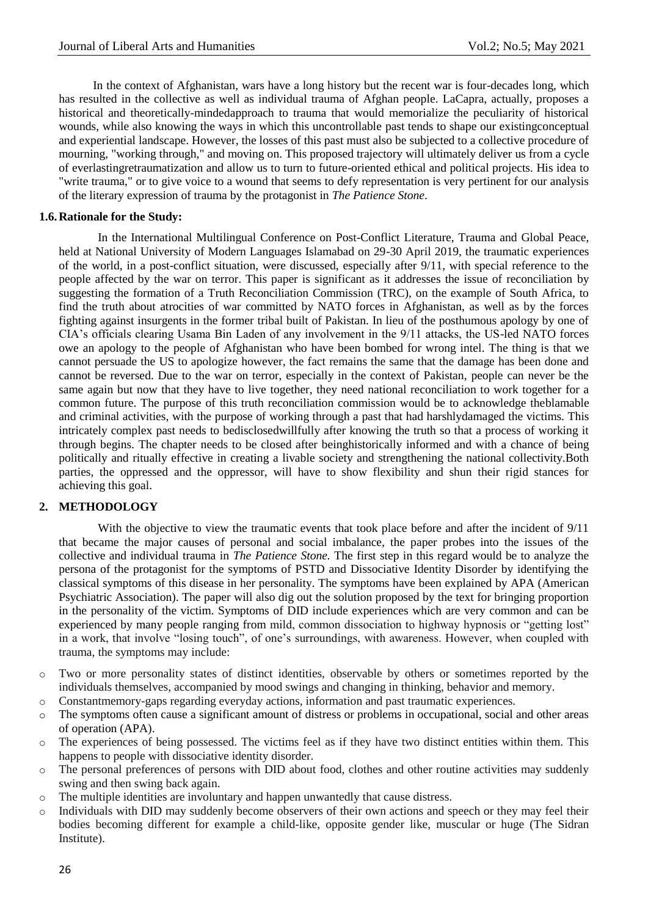In the context of Afghanistan, wars have a long history but the recent war is four-decades long, which has resulted in the collective as well as individual trauma of Afghan people. LaCapra, actually, proposes a historical and theoretically-mindedapproach to trauma that would memorialize the peculiarity of historical wounds, while also knowing the ways in which this uncontrollable past tends to shape our existingconceptual and experiential landscape. However, the losses of this past must also be subjected to a collective procedure of mourning, "working through," and moving on. This proposed trajectory will ultimately deliver us from a cycle of everlastingretraumatization and allow us to turn to future-oriented ethical and political projects. His idea to "write trauma," or to give voice to a wound that seems to defy representation is very pertinent for our analysis of the literary expression of trauma by the protagonist in *The Patience Stone*.

## **1.6.Rationale for the Study:**

In the International Multilingual Conference on Post-Conflict Literature, Trauma and Global Peace, held at National University of Modern Languages Islamabad on 29-30 April 2019, the traumatic experiences of the world, in a post-conflict situation, were discussed, especially after 9/11, with special reference to the people affected by the war on terror. This paper is significant as it addresses the issue of reconciliation by suggesting the formation of a Truth Reconciliation Commission (TRC), on the example of South Africa, to find the truth about atrocities of war committed by NATO forces in Afghanistan, as well as by the forces fighting against insurgents in the former tribal built of Pakistan. In lieu of the posthumous apology by one of CIA's officials clearing Usama Bin Laden of any involvement in the 9/11 attacks, the US-led NATO forces owe an apology to the people of Afghanistan who have been bombed for wrong intel. The thing is that we cannot persuade the US to apologize however, the fact remains the same that the damage has been done and cannot be reversed. Due to the war on terror, especially in the context of Pakistan, people can never be the same again but now that they have to live together, they need national reconciliation to work together for a common future. The purpose of this truth reconciliation commission would be to acknowledge theblamable and criminal activities, with the purpose of working through a past that had harshlydamaged the victims. This intricately complex past needs to bedisclosedwillfully after knowing the truth so that a process of working it through begins. The chapter needs to be closed after beinghistorically informed and with a chance of being politically and ritually effective in creating a livable society and strengthening the national collectivity.Both parties, the oppressed and the oppressor, will have to show flexibility and shun their rigid stances for achieving this goal.

## **2. METHODOLOGY**

With the objective to view the traumatic events that took place before and after the incident of  $9/11$ that became the major causes of personal and social imbalance, the paper probes into the issues of the collective and individual trauma in *The Patience Stone.* The first step in this regard would be to analyze the persona of the protagonist for the symptoms of PSTD and Dissociative Identity Disorder by identifying the classical symptoms of this disease in her personality. The symptoms have been explained by APA (American Psychiatric Association). The paper will also dig out the solution proposed by the text for bringing proportion in the personality of the victim. Symptoms of DID include experiences which are very common and can be experienced by many people ranging from mild, common dissociation to highway hypnosis or "getting lost" in a work, that involve "losing touch", of one's surroundings, with awareness. However, when coupled with trauma, the symptoms may include:

- o Two or more personality states of distinct identities, observable by others or sometimes reported by the individuals themselves, accompanied by mood swings and changing in thinking, behavior and memory.
- o Constantmemory-gaps regarding everyday actions, information and past traumatic experiences.
- o The symptoms often cause a significant amount of distress or problems in occupational, social and other areas of operation (APA).
- o The experiences of being possessed. The victims feel as if they have two distinct entities within them. This happens to people with dissociative identity disorder.
- o The personal preferences of persons with DID about food, clothes and other routine activities may suddenly swing and then swing back again.
- o The multiple identities are involuntary and happen unwantedly that cause distress.
- Individuals with DID may suddenly become observers of their own actions and speech or they may feel their bodies becoming different for example a child-like, opposite gender like, muscular or huge (The Sidran Institute).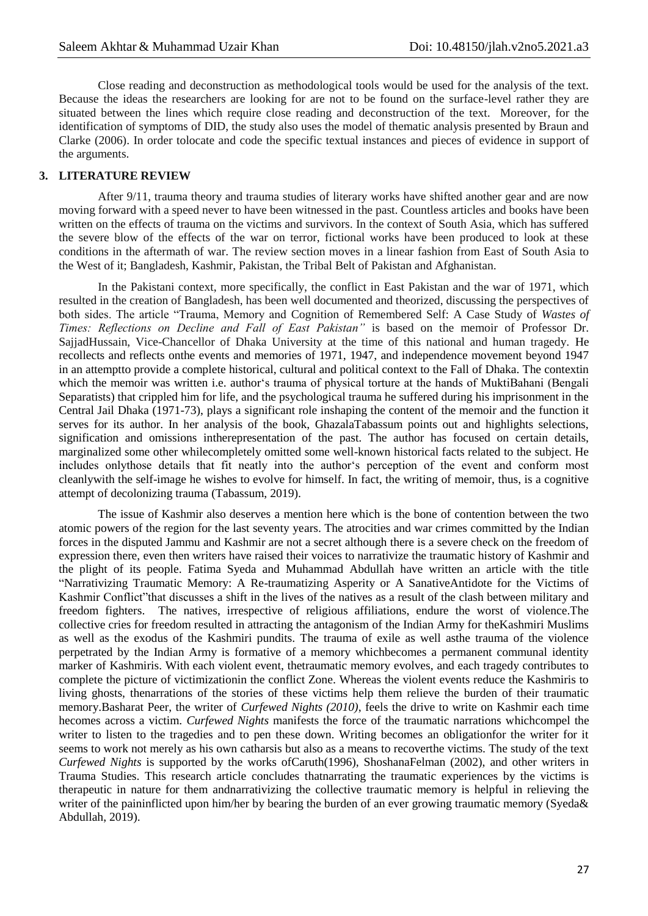Close reading and deconstruction as methodological tools would be used for the analysis of the text. Because the ideas the researchers are looking for are not to be found on the surface-level rather they are situated between the lines which require close reading and deconstruction of the text. Moreover, for the identification of symptoms of DID, the study also uses the model of thematic analysis presented by Braun and Clarke (2006). In order tolocate and code the specific textual instances and pieces of evidence in support of the arguments.

## **3. LITERATURE REVIEW**

After 9/11, trauma theory and trauma studies of literary works have shifted another gear and are now moving forward with a speed never to have been witnessed in the past. Countless articles and books have been written on the effects of trauma on the victims and survivors. In the context of South Asia, which has suffered the severe blow of the effects of the war on terror, fictional works have been produced to look at these conditions in the aftermath of war. The review section moves in a linear fashion from East of South Asia to the West of it; Bangladesh, Kashmir, Pakistan, the Tribal Belt of Pakistan and Afghanistan.

In the Pakistani context, more specifically, the conflict in East Pakistan and the war of 1971, which resulted in the creation of Bangladesh, has been well documented and theorized, discussing the perspectives of both sides. The article "Trauma, Memory and Cognition of Remembered Self: A Case Study of *Wastes of Times: Reflections on Decline and Fall of East Pakistan"* is based on the memoir of Professor Dr. SajjadHussain, Vice-Chancellor of Dhaka University at the time of this national and human tragedy. He recollects and reflects onthe events and memories of 1971, 1947, and independence movement beyond 1947 in an attemptto provide a complete historical, cultural and political context to the Fall of Dhaka. The contextin which the memoir was written i.e. author's trauma of physical torture at the hands of MuktiBahani (Bengali Separatists) that crippled him for life, and the psychological trauma he suffered during his imprisonment in the Central Jail Dhaka (1971-73), plays a significant role inshaping the content of the memoir and the function it serves for its author. In her analysis of the book, GhazalaTabassum points out and highlights selections, signification and omissions intherepresentation of the past. The author has focused on certain details, marginalized some other whilecompletely omitted some well-known historical facts related to the subject. He includes onlythose details that fit neatly into the author's perception of the event and conform most cleanlywith the self-image he wishes to evolve for himself. In fact, the writing of memoir, thus, is a cognitive attempt of decolonizing trauma (Tabassum, 2019).

The issue of Kashmir also deserves a mention here which is the bone of contention between the two atomic powers of the region for the last seventy years. The atrocities and war crimes committed by the Indian forces in the disputed Jammu and Kashmir are not a secret although there is a severe check on the freedom of expression there, even then writers have raised their voices to narrativize the traumatic history of Kashmir and the plight of its people. Fatima Syeda and Muhammad Abdullah have written an article with the title ―Narrativizing Traumatic Memory: A Re-traumatizing Asperity or A SanativeAntidote for the Victims of Kashmir Conflict" that discusses a shift in the lives of the natives as a result of the clash between military and freedom fighters. The natives, irrespective of religious affiliations, endure the worst of violence.The collective cries for freedom resulted in attracting the antagonism of the Indian Army for theKashmiri Muslims as well as the exodus of the Kashmiri pundits. The trauma of exile as well asthe trauma of the violence perpetrated by the Indian Army is formative of a memory whichbecomes a permanent communal identity marker of Kashmiris. With each violent event, thetraumatic memory evolves, and each tragedy contributes to complete the picture of victimizationin the conflict Zone. Whereas the violent events reduce the Kashmiris to living ghosts, thenarrations of the stories of these victims help them relieve the burden of their traumatic memory.Basharat Peer, the writer of *Curfewed Nights (2010)*, feels the drive to write on Kashmir each time hecomes across a victim. *Curfewed Nights* manifests the force of the traumatic narrations whichcompel the writer to listen to the tragedies and to pen these down. Writing becomes an obligationfor the writer for it seems to work not merely as his own catharsis but also as a means to recoverthe victims. The study of the text *Curfewed Nights* is supported by the works ofCaruth(1996), ShoshanaFelman (2002), and other writers in Trauma Studies. This research article concludes thatnarrating the traumatic experiences by the victims is therapeutic in nature for them andnarrativizing the collective traumatic memory is helpful in relieving the writer of the paininflicted upon him/her by bearing the burden of an ever growing traumatic memory (Syeda& Abdullah, 2019).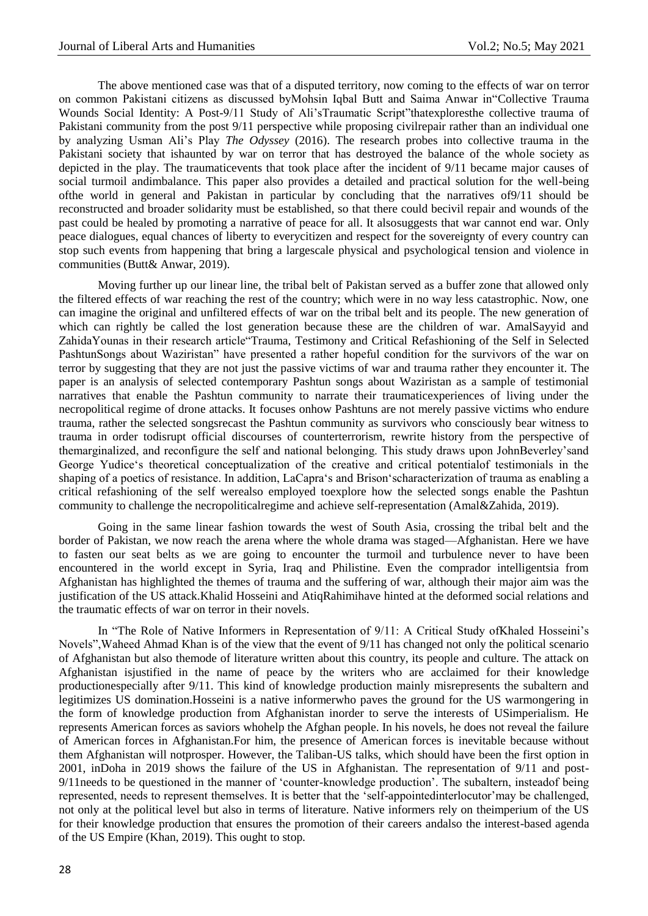The above mentioned case was that of a disputed territory, now coming to the effects of war on terror on common Pakistani citizens as discussed byMohsin Iqbal Butt and Saima Anwar in"Collective Trauma Wounds Social Identity: A Post-9/11 Study of Ali'sTraumatic Script''thatexploresthe collective trauma of Pakistani community from the post 9/11 perspective while proposing civilrepair rather than an individual one by analyzing Usman Ali's Play *The Odyssey* (2016). The research probes into collective trauma in the Pakistani society that ishaunted by war on terror that has destroyed the balance of the whole society as depicted in the play. The traumaticevents that took place after the incident of 9/11 became major causes of social turmoil andimbalance. This paper also provides a detailed and practical solution for the well-being ofthe world in general and Pakistan in particular by concluding that the narratives of9/11 should be reconstructed and broader solidarity must be established, so that there could becivil repair and wounds of the past could be healed by promoting a narrative of peace for all. It alsosuggests that war cannot end war. Only peace dialogues, equal chances of liberty to everycitizen and respect for the sovereignty of every country can stop such events from happening that bring a largescale physical and psychological tension and violence in communities (Butt& Anwar, 2019).

Moving further up our linear line, the tribal belt of Pakistan served as a buffer zone that allowed only the filtered effects of war reaching the rest of the country; which were in no way less catastrophic. Now, one can imagine the original and unfiltered effects of war on the tribal belt and its people. The new generation of which can rightly be called the lost generation because these are the children of war. AmalSayyid and ZahidaYounas in their research article Trauma, Testimony and Critical Refashioning of the Self in Selected PashtunSongs about Waziristan" have presented a rather hopeful condition for the survivors of the war on terror by suggesting that they are not just the passive victims of war and trauma rather they encounter it. The paper is an analysis of selected contemporary Pashtun songs about Waziristan as a sample of testimonial narratives that enable the Pashtun community to narrate their traumaticexperiences of living under the necropolitical regime of drone attacks. It focuses onhow Pashtuns are not merely passive victims who endure trauma, rather the selected songsrecast the Pashtun community as survivors who consciously bear witness to trauma in order todisrupt official discourses of counterterrorism, rewrite history from the perspective of themarginalized, and reconfigure the self and national belonging. This study draws upon JohnBeverley'sand George Yudice‗s theoretical conceptualization of the creative and critical potentialof testimonials in the shaping of a poetics of resistance. In addition, LaCapra's and Brison'scharacterization of trauma as enabling a critical refashioning of the self werealso employed toexplore how the selected songs enable the Pashtun community to challenge the necropoliticalregime and achieve self-representation (Amal&Zahida, 2019).

Going in the same linear fashion towards the west of South Asia, crossing the tribal belt and the border of Pakistan, we now reach the arena where the whole drama was staged—Afghanistan. Here we have to fasten our seat belts as we are going to encounter the turmoil and turbulence never to have been encountered in the world except in Syria, Iraq and Philistine. Even the comprador intelligentsia from Afghanistan has highlighted the themes of trauma and the suffering of war, although their major aim was the justification of the US attack.Khalid Hosseini and AtiqRahimihave hinted at the deformed social relations and the traumatic effects of war on terror in their novels.

In "The Role of Native Informers in Representation of 9/11: A Critical Study ofKhaled Hosseini's Novels", Waheed Ahmad Khan is of the view that the event of 9/11 has changed not only the political scenario of Afghanistan but also themode of literature written about this country, its people and culture. The attack on Afghanistan isjustified in the name of peace by the writers who are acclaimed for their knowledge productionespecially after 9/11. This kind of knowledge production mainly misrepresents the subaltern and legitimizes US domination.Hosseini is a native informerwho paves the ground for the US warmongering in the form of knowledge production from Afghanistan inorder to serve the interests of USimperialism. He represents American forces as saviors whohelp the Afghan people. In his novels, he does not reveal the failure of American forces in Afghanistan.For him, the presence of American forces is inevitable because without them Afghanistan will notprosper. However, the Taliban-US talks, which should have been the first option in 2001, inDoha in 2019 shows the failure of the US in Afghanistan. The representation of 9/11 and post-9/11 needs to be questioned in the manner of 'counter-knowledge production'. The subaltern, insteadof being represented, needs to represent themselves. It is better that the 'self-appointedinterlocutor'may be challenged, not only at the political level but also in terms of literature. Native informers rely on theimperium of the US for their knowledge production that ensures the promotion of their careers andalso the interest-based agenda of the US Empire (Khan, 2019). This ought to stop.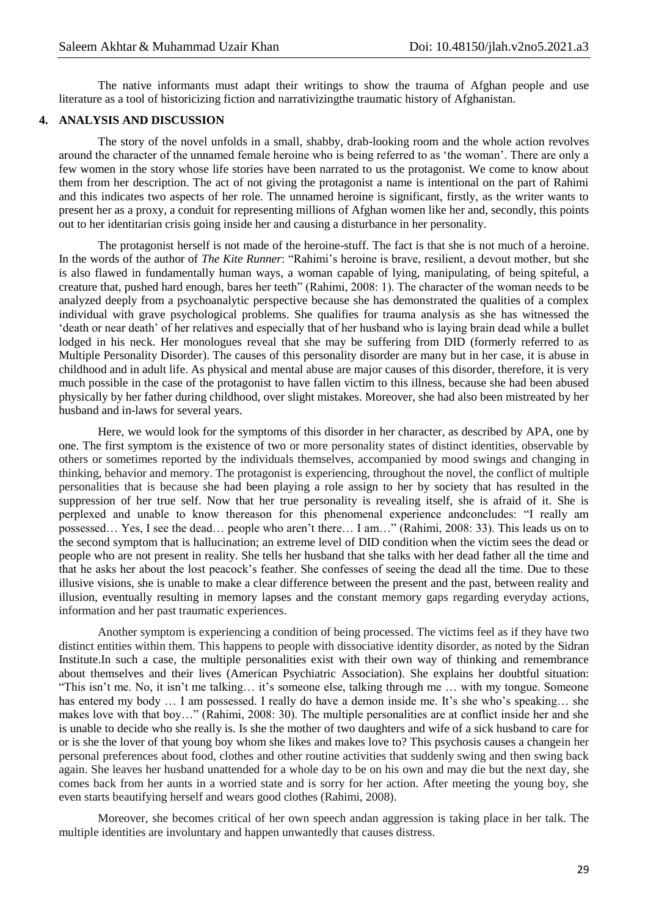The native informants must adapt their writings to show the trauma of Afghan people and use literature as a tool of historicizing fiction and narrativizingthe traumatic history of Afghanistan.

## **4. ANALYSIS AND DISCUSSION**

The story of the novel unfolds in a small, shabby, drab-looking room and the whole action revolves around the character of the unnamed female heroine who is being referred to as 'the woman'. There are only a few women in the story whose life stories have been narrated to us the protagonist. We come to know about them from her description. The act of not giving the protagonist a name is intentional on the part of Rahimi and this indicates two aspects of her role. The unnamed heroine is significant, firstly, as the writer wants to present her as a proxy, a conduit for representing millions of Afghan women like her and, secondly, this points out to her identitarian crisis going inside her and causing a disturbance in her personality.

The protagonist herself is not made of the heroine-stuff. The fact is that she is not much of a heroine. In the words of the author of *The Kite Runner*: "Rahimi's heroine is brave, resilient, a devout mother, but she is also flawed in fundamentally human ways, a woman capable of lying, manipulating, of being spiteful, a creature that, pushed hard enough, bares her teeth" (Rahimi, 2008: 1). The character of the woman needs to be analyzed deeply from a psychoanalytic perspective because she has demonstrated the qualities of a complex individual with grave psychological problems. She qualifies for trauma analysis as she has witnessed the ‗death or near death' of her relatives and especially that of her husband who is laying brain dead while a bullet lodged in his neck. Her monologues reveal that she may be suffering from DID (formerly referred to as Multiple Personality Disorder). The causes of this personality disorder are many but in her case, it is abuse in childhood and in adult life. As physical and mental abuse are major causes of this disorder, therefore, it is very much possible in the case of the protagonist to have fallen victim to this illness, because she had been abused physically by her father during childhood, over slight mistakes. Moreover, she had also been mistreated by her husband and in-laws for several years.

Here, we would look for the symptoms of this disorder in her character, as described by APA, one by one. The first symptom is the existence of two or more personality states of distinct identities, observable by others or sometimes reported by the individuals themselves, accompanied by mood swings and changing in thinking, behavior and memory. The protagonist is experiencing, throughout the novel, the conflict of multiple personalities that is because she had been playing a role assign to her by society that has resulted in the suppression of her true self. Now that her true personality is revealing itself, she is afraid of it. She is perplexed and unable to know thereason for this phenomenal experience andconcludes: "I really am possessed… Yes, I see the dead… people who aren't there… I am…‖ (Rahimi, 2008: 33). This leads us on to the second symptom that is hallucination; an extreme level of DID condition when the victim sees the dead or people who are not present in reality. She tells her husband that she talks with her dead father all the time and that he asks her about the lost peacock's feather. She confesses of seeing the dead all the time. Due to these illusive visions, she is unable to make a clear difference between the present and the past, between reality and illusion, eventually resulting in memory lapses and the constant memory gaps regarding everyday actions, information and her past traumatic experiences.

Another symptom is experiencing a condition of being processed. The victims feel as if they have two distinct entities within them. This happens to people with dissociative identity disorder, as noted by the Sidran Institute.In such a case, the multiple personalities exist with their own way of thinking and remembrance about themselves and their lives (American Psychiatric Association). She explains her doubtful situation: ―This isn't me. No, it isn't me talking… it's someone else, talking through me … with my tongue. Someone has entered my body ... I am possessed. I really do have a demon inside me. It's she who's speaking... she makes love with that boy..." (Rahimi, 2008: 30). The multiple personalities are at conflict inside her and she is unable to decide who she really is. Is she the mother of two daughters and wife of a sick husband to care for or is she the lover of that young boy whom she likes and makes love to? This psychosis causes a changein her personal preferences about food, clothes and other routine activities that suddenly swing and then swing back again. She leaves her husband unattended for a whole day to be on his own and may die but the next day, she comes back from her aunts in a worried state and is sorry for her action. After meeting the young boy, she even starts beautifying herself and wears good clothes (Rahimi, 2008).

Moreover, she becomes critical of her own speech andan aggression is taking place in her talk. The multiple identities are involuntary and happen unwantedly that causes distress.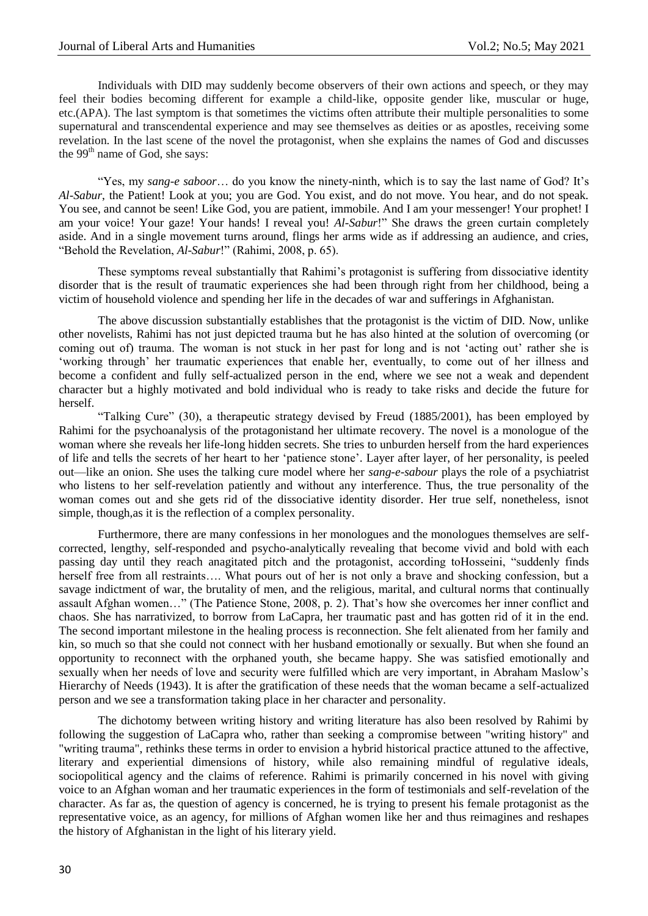#### Journal of Liberal Arts and Humanities Vol.2; No.5; May 2021

Individuals with DID may suddenly become observers of their own actions and speech, or they may feel their bodies becoming different for example a child-like, opposite gender like, muscular or huge, etc.(APA). The last symptom is that sometimes the victims often attribute their multiple personalities to some supernatural and transcendental experience and may see themselves as deities or as apostles, receiving some revelation. In the last scene of the novel the protagonist, when she explains the names of God and discusses the 99<sup>th</sup> name of God, she says:

―Yes, my *sang-e saboor*… do you know the ninety-ninth, which is to say the last name of God? It's *Al-Sabur*, the Patient! Look at you; you are God. You exist, and do not move. You hear, and do not speak. You see, and cannot be seen! Like God, you are patient, immobile. And I am your messenger! Your prophet! I am your voice! Your gaze! Your hands! I reveal you! *Al-Sabur!*" She draws the green curtain completely aside. And in a single movement turns around, flings her arms wide as if addressing an audience, and cries, "Behold the Revelation, *Al-Sabur*!" (Rahimi, 2008, p. 65).

These symptoms reveal substantially that Rahimi's protagonist is suffering from dissociative identity disorder that is the result of traumatic experiences she had been through right from her childhood, being a victim of household violence and spending her life in the decades of war and sufferings in Afghanistan.

The above discussion substantially establishes that the protagonist is the victim of DID. Now, unlike other novelists, Rahimi has not just depicted trauma but he has also hinted at the solution of overcoming (or coming out of) trauma. The woman is not stuck in her past for long and is not 'acting out' rather she is ‗working through' her traumatic experiences that enable her, eventually, to come out of her illness and become a confident and fully self-actualized person in the end, where we see not a weak and dependent character but a highly motivated and bold individual who is ready to take risks and decide the future for herself.

"Talking Cure" (30), a therapeutic strategy devised by Freud (1885/2001), has been employed by Rahimi for the psychoanalysis of the protagonistand her ultimate recovery. The novel is a monologue of the woman where she reveals her life-long hidden secrets. She tries to unburden herself from the hard experiences of life and tells the secrets of her heart to her 'patience stone'. Layer after layer, of her personality, is peeled out—like an onion. She uses the talking cure model where her *sang-e-sabour* plays the role of a psychiatrist who listens to her self-revelation patiently and without any interference. Thus, the true personality of the woman comes out and she gets rid of the dissociative identity disorder. Her true self, nonetheless, isnot simple, though,as it is the reflection of a complex personality.

Furthermore, there are many confessions in her monologues and the monologues themselves are selfcorrected, lengthy, self-responded and psycho-analytically revealing that become vivid and bold with each passing day until they reach anagitated pitch and the protagonist, according toHosseini, "suddenly finds herself free from all restraints.... What pours out of her is not only a brave and shocking confession, but a savage indictment of war, the brutality of men, and the religious, marital, and cultural norms that continually assault Afghan women..." (The Patience Stone, 2008, p. 2). That's how she overcomes her inner conflict and chaos. She has narrativized, to borrow from LaCapra, her traumatic past and has gotten rid of it in the end. The second important milestone in the healing process is reconnection. She felt alienated from her family and kin, so much so that she could not connect with her husband emotionally or sexually. But when she found an opportunity to reconnect with the orphaned youth, she became happy. She was satisfied emotionally and sexually when her needs of love and security were fulfilled which are very important, in Abraham Maslow's Hierarchy of Needs (1943). It is after the gratification of these needs that the woman became a self-actualized person and we see a transformation taking place in her character and personality.

The dichotomy between writing history and writing literature has also been resolved by Rahimi by following the suggestion of LaCapra who, rather than seeking a compromise between "writing history" and "writing trauma", rethinks these terms in order to envision a hybrid historical practice attuned to the affective, literary and experiential dimensions of history, while also remaining mindful of regulative ideals, sociopolitical agency and the claims of reference. Rahimi is primarily concerned in his novel with giving voice to an Afghan woman and her traumatic experiences in the form of testimonials and self-revelation of the character. As far as, the question of agency is concerned, he is trying to present his female protagonist as the representative voice, as an agency, for millions of Afghan women like her and thus reimagines and reshapes the history of Afghanistan in the light of his literary yield.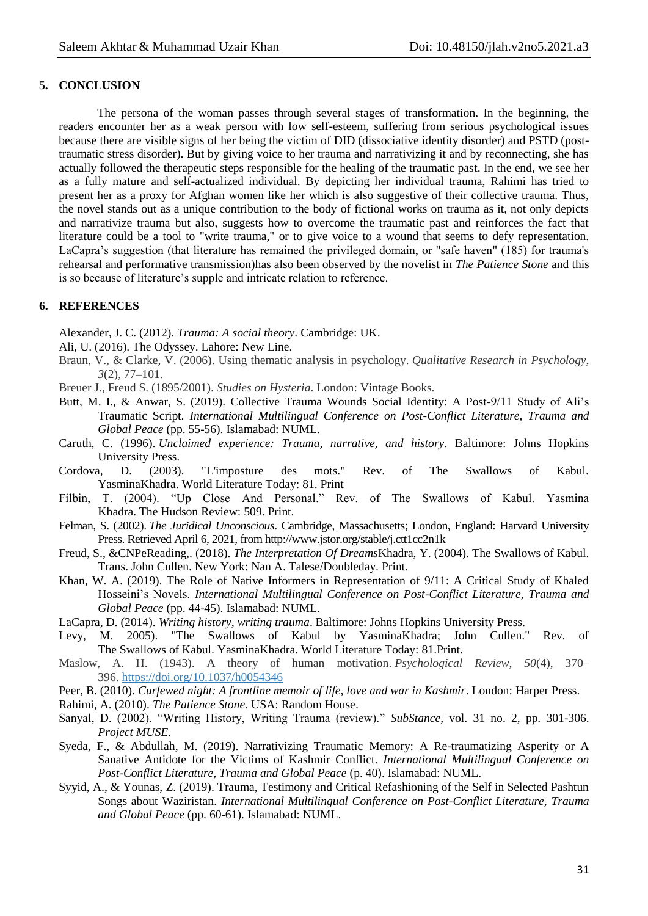## **5. CONCLUSION**

The persona of the woman passes through several stages of transformation. In the beginning, the readers encounter her as a weak person with low self-esteem, suffering from serious psychological issues because there are visible signs of her being the victim of DID (dissociative identity disorder) and PSTD (posttraumatic stress disorder). But by giving voice to her trauma and narrativizing it and by reconnecting, she has actually followed the therapeutic steps responsible for the healing of the traumatic past. In the end, we see her as a fully mature and self-actualized individual. By depicting her individual trauma, Rahimi has tried to present her as a proxy for Afghan women like her which is also suggestive of their collective trauma. Thus, the novel stands out as a unique contribution to the body of fictional works on trauma as it, not only depicts and narrativize trauma but also, suggests how to overcome the traumatic past and reinforces the fact that literature could be a tool to "write trauma," or to give voice to a wound that seems to defy representation. LaCapra's suggestion (that literature has remained the privileged domain, or "safe haven" (185) for trauma's rehearsal and performative transmission)has also been observed by the novelist in *The Patience Stone* and this is so because of literature's supple and intricate relation to reference.

## **6. REFERENCES**

Alexander, J. C. (2012). *Trauma: A social theory*. Cambridge: UK.

- Ali, U. (2016). The Odyssey. Lahore: New Line.
- Braun, V., & Clarke, V. (2006). Using thematic analysis in psychology. *Qualitative Research in Psychology, 3*(2), 77–101.

Breuer J., Freud S. (1895/2001). *Studies on Hysteria*. London: Vintage Books.

- Butt, M. I., & Anwar, S. (2019). Collective Trauma Wounds Social Identity: A Post-9/11 Study of Ali's Traumatic Script. *International Multilingual Conference on Post-Conflict Literature, Trauma and Global Peace* (pp. 55-56). Islamabad: NUML.
- Caruth, C. (1996). *Unclaimed experience: Trauma, narrative, and history*. Baltimore: Johns Hopkins University Press.
- Cordova, D. (2003). "L'imposture des mots." Rev. of The Swallows of Kabul. YasminaKhadra. World Literature Today: 81. Print
- Filbin, T. (2004). "Up Close And Personal." Rev. of The Swallows of Kabul. Yasmina Khadra. The Hudson Review: 509. Print.
- Felman, S. (2002). *The Juridical Unconscious*. Cambridge, Massachusetts; London, England: Harvard University Press. Retrieved April 6, 2021, from http://www.jstor.org/stable/j.ctt1cc2n1k
- Freud, S., &CNPeReading,. (2018). *The Interpretation Of Dreams*Khadra, Y. (2004). The Swallows of Kabul. Trans. John Cullen. New York: Nan A. Talese/Doubleday. Print.
- Khan, W. A. (2019). The Role of Native Informers in Representation of 9/11: A Critical Study of Khaled Hosseini's Novels. *International Multilingual Conference on Post-Conflict Literature, Trauma and Global Peace* (pp. 44-45). Islamabad: NUML.
- LaCapra, D. (2014). *Writing history, writing trauma*. Baltimore: Johns Hopkins University Press.
- Levy, M. 2005). "The Swallows of Kabul by YasminaKhadra; John Cullen." Rev. of The Swallows of Kabul. YasminaKhadra. World Literature Today: 81.Print.
- Maslow, A. H. (1943). A theory of human motivation. *Psychological Review, 50*(4), 370– 396. [https://doi.org/10.1037/h0054346](https://psycnet.apa.org/doi/10.1037/h0054346)
- Peer, B. (2010). *Curfewed night: A frontline memoir of life, love and war in Kashmir*. London: Harper Press.
- Rahimi, A. (2010). *The Patience Stone*. USA: Random House.
- Sanyal, D. (2002). "Writing History, Writing Trauma (review)." *SubStance*, vol. 31 no. 2, pp. 301-306. *Project MUSE.*
- Syeda, F., & Abdullah, M. (2019). Narrativizing Traumatic Memory: A Re-traumatizing Asperity or A Sanative Antidote for the Victims of Kashmir Conflict. *International Multilingual Conference on Post-Conflict Literature, Trauma and Global Peace* (p. 40). Islamabad: NUML.
- Syyid, A., & Younas, Z. (2019). Trauma, Testimony and Critical Refashioning of the Self in Selected Pashtun Songs about Waziristan. *International Multilingual Conference on Post-Conflict Literature, Trauma and Global Peace* (pp. 60-61). Islamabad: NUML.